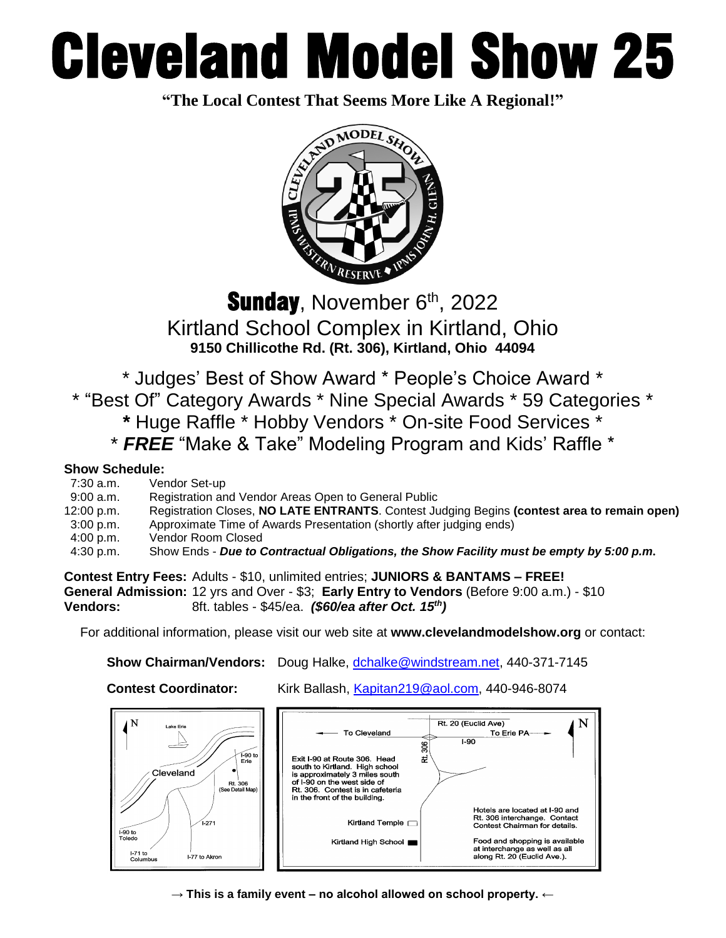# Cleveland Model Show 25

**"The Local Contest That Seems More Like A Regional!"**



Sunday, November 6<sup>th</sup>, 2022 Kirtland School Complex in Kirtland, Ohio **9150 Chillicothe Rd. (Rt. 306), Kirtland, Ohio 44094**

\* Judges' Best of Show Award \* People's Choice Award \*

\* "Best Of" Category Awards \* Nine Special Awards \* 59 Categories \*

- **\*** Huge Raffle \* Hobby Vendors \* On-site Food Services \*
- \* *FREE* "Make & Take" Modeling Program and Kids' Raffle \*

### **Show Schedule:**

| $7:30$ a.m. | Vendor Set-up                                                                               |
|-------------|---------------------------------------------------------------------------------------------|
| 9:00 a.m.   | Registration and Vendor Areas Open to General Public                                        |
| 12:00 p.m.  | Registration Closes, NO LATE ENTRANTS. Contest Judging Begins (contest area to remain open) |
| 3:00 p.m.   | Approximate Time of Awards Presentation (shortly after judging ends)                        |
| 4:00 p.m.   | Vendor Room Closed                                                                          |
| 4:30 p.m.   | Show Ends - Due to Contractual Obligations, the Show Facility must be empty by 5:00 p.m.    |
|             |                                                                                             |

**Contest Entry Fees:** Adults - \$10, unlimited entries; **JUNIORS & BANTAMS – FREE! General Admission:** 12 yrs and Over - \$3; **Early Entry to Vendors** (Before 9:00 a.m.) - \$10 **Vendors:** 8ft. tables - \$45/ea. *(\$60/ea after Oct. 15<sup>th</sup>)* 

For additional information, please visit our web site at **www.clevelandmodelshow.org** or contact:

**Show Chairman/Vendors:** Doug Halke, [dchalke@windstream.net,](mailto:dchalke@windstream.net) 440-371-7145

**Contest Coordinator:** Kirk Ballash, [Kapitan219@aol.com,](mailto:Kapitan219@aol.com) 440-946-8074



→ **This is a family event – no alcohol allowed on school property. ←**